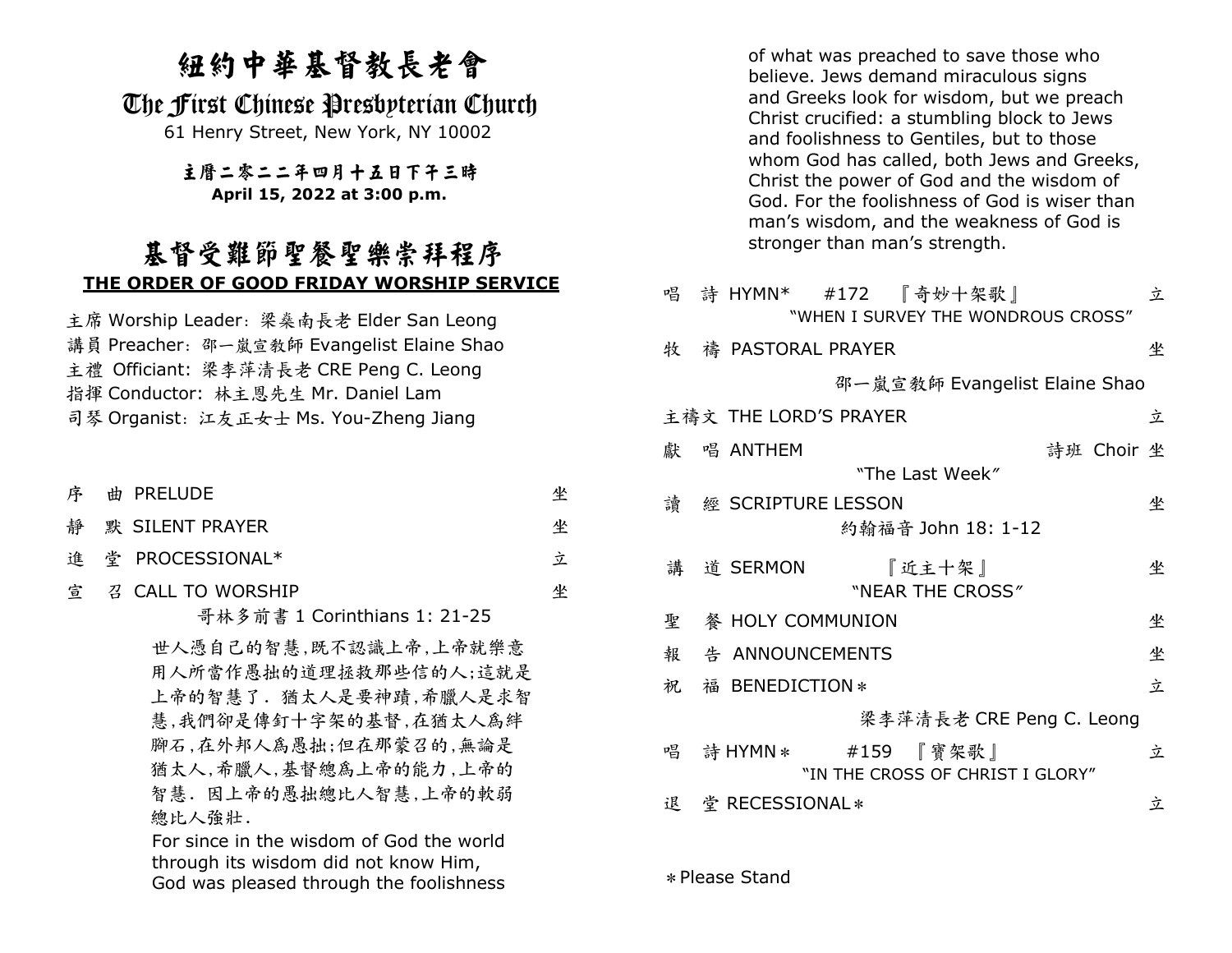## 紐約中華基督教長老會

### The First Chinese Presbyterian Church

61 Henry Street, New York, NY 10002

## 主曆二零二二年四月十五日下午三時

#### **April 15, 2022 at 3:00 p.m.**

## 基督受難節聖餐聖樂崇拜程序**THE ORDER OF GOOD FRIDAY WORSHIP SERVICE**

主席 Worship Leader:梁燊南長老 Elder San Leong<br>港員 Proacher,邵言孝統 Evangelist Elaine Sha 講員 Preacher:邵一嵐宣教師 Evangelist Elaine Shao<br>さ<sup></sup>のficiant: 汲あ英法長老 CPE Bong C. Loong 主禮 Officiant: 梁李萍清長老 CRE Peng C. Leong<br>や塚 Conductor: サミ因先生 Mr. Daniol Lam 指揮 Conductor: 林主恩先生 Mr. Daniel Lam<br>ヨ琴 Organist、江东王右上 Ms. You-Zhong 1 司琴 Organist: 江友正女士 Ms. You-Zheng Jiang

- 序 曲曲 PRFI UDF 坐坐
- 靜 默 SILENT PRAYER
- 進堂 PROCESSIONAL\*

#### 官 宣 召 CALL TO WORSHIP<br>エサタがまし

哥林多前書 1 Corinthians 1: 21-25

立

坐

世人憑自己的智慧,既不認識上帝,上帝就樂意 用人所當作愚拙的道理拯救那些信的人;這就是 上帝的智慧了. 猶太人是要神蹟,希臘人是求智 慧,我們卻是傳釘十字架的基督,在猶太人為絆 腳石,在外邦人為愚拙;但在那蒙召的,無論是 猶太人,希臘人,基督總為上帝的能力,上帝的 智慧. 因上帝的愚拙總比人智慧,上帝的軟弱 總比人強壯.

 For since in the wisdom of God the world through its wisdom did not know Him, God was pleased through the foolishness

 of what was preached to save those who believe. Jews demand miraculous signs and Greeks look for wisdom, but we preach Christ crucified: a stumbling block to Jews and foolishness to Gentiles, but to those whom God has called, both Jews and Greeks, Christ the power of God and the wisdom of God. For the foolishness of God is wiser than man's wisdom, and the weakness of God is stronger than man's strength.

|   | 唱 詩 HYMN* #172 『奇妙十架歌』<br>"WHEN I SURVEY THE WONDROUS CROSS" | 立 |
|---|--------------------------------------------------------------|---|
| 牧 | 禱 PASTORAL PRAYER                                            | 坐 |
|   | 邵一嵐宣教師 Evangelist Elaine Shao                                |   |
|   | 主禱文 THE LORD'S PRAYER                                        | 立 |
|   | 獻 唱 ANTHEM<br>詩班 Choir 坐                                     |   |
|   | "The Last Week"                                              |   |
|   | 讀 經 SCRIPTURE LESSON                                         | 坐 |
|   | 約翰福音 John 18: 1-12                                           |   |
|   | 講 道 SERMON<br>『近主十架』<br>"NEAR THE CROSS"                     | 坐 |
| 聖 | 餐 HOLY COMMUNION                                             | 坐 |
| 報 | 告 ANNOUNCEMENTS                                              | 坐 |
| 祝 | 福 BENEDICTION *                                              | 立 |
|   | 梁李萍清長老 CRE Peng C. Leong                                     |   |
|   | 唱 詩 HYMN * #159 『寶架歌』<br>"IN THE CROSS OF CHRIST I GLORY"    | 立 |
|   | 退 堂 RECESSIONAL*                                             | 立 |

\*Please Stand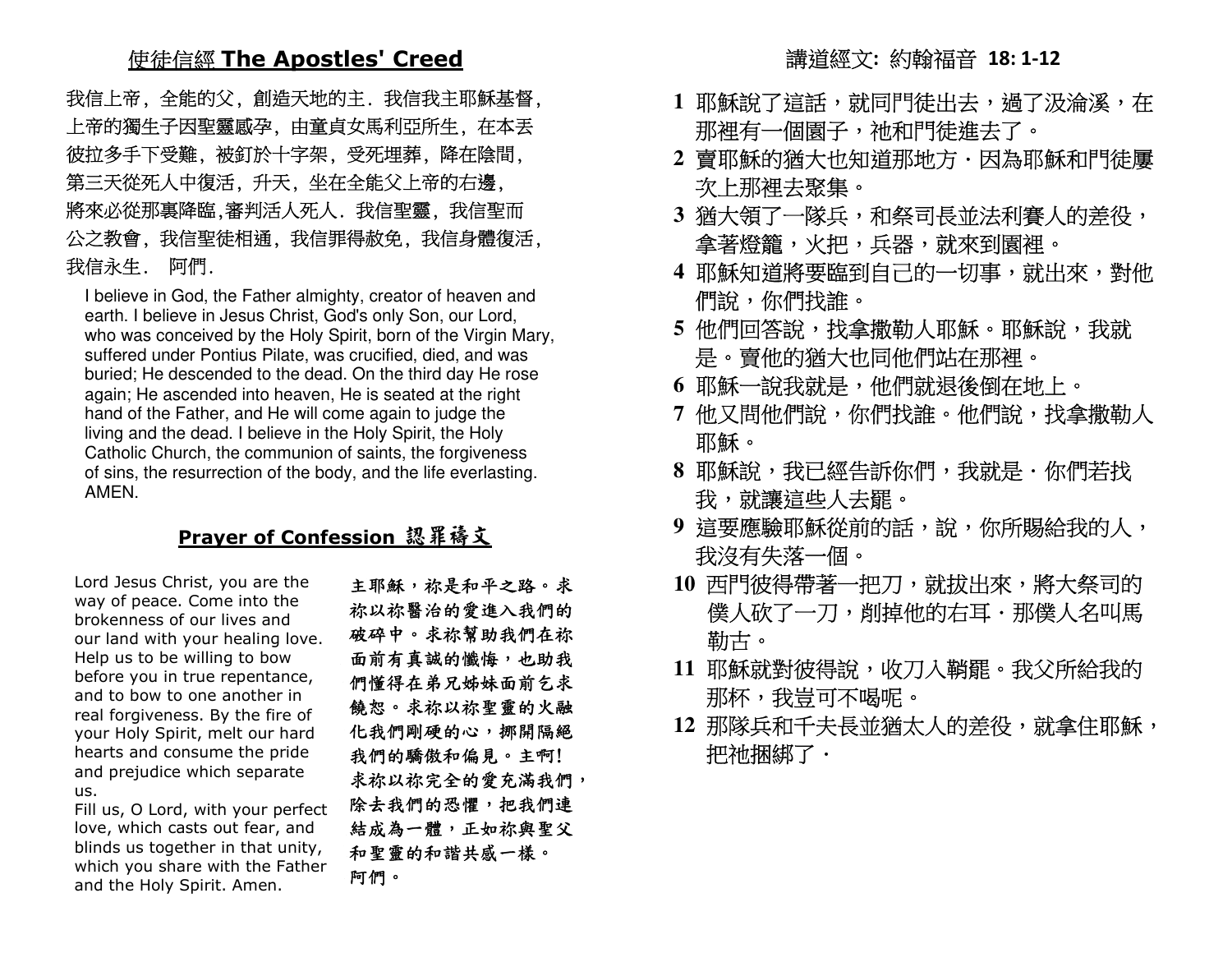# 使徒信經 **The Apostles' Creed**

 我信上帝, 全能的父, 創造天地的主. 我信我主耶穌基督, 上帝的獨生子因聖靈感孕, 由童貞女馬利亞所生, 在本丟 彼拉多手下受難, 被釘於十字架, 受死埋葬, 降在陰間, 第三天從死人中復活, 升天, 坐在全能父上帝的右邊, 將來必從那裏降臨,審判活人死人. 我信聖靈, 我信聖而 公之教會, 我信聖徒相通, 我信罪得赦免, 我信身體復活, 我信永生. 阿們.

 I believe in God, the Father almighty, creator of heaven and earth. I believe in Jesus Christ, God's only Son, our Lord, who was conceived by the Holy Spirit, born of the Virgin Mary, suffered under Pontius Pilate, was crucified, died, and was buried; He descended to the dead. On the third day He rose again; He ascended into heaven, He is seated at the right hand of the Father, and He will come again to judge the living and the dead. I believe in the Holy Spirit, the Holy Catholic Church, the communion of saints, the forgiveness of sins, the resurrection of the body, and the life everlasting. AMEN.

### **Prayer of Confession** 認罪禱文

Lord Jesus Christ, you are the way of peace. Come into the brokenness of our lives and our land with your healing love. Help us to be willing to bow before you in true repentance, and to bow to one another in real forgiveness. By the fire of your Holy Spirit, melt our hard hearts and consume the pride and prejudice which separate us.

 Fill us, O Lord, with your perfect love, which casts out fear, and blinds us together in that unity, which you share with the Father and the Holy Spirit. Amen.

 主耶穌,祢是和平之路。求 祢以祢醫治的愛進入我們的 破碎中。求祢幫助我們在祢 面前有真誠的懺悔,也助我 們懂得在弟兄姊妹面前乞求 饒恕。求祢以祢聖靈的火融 化我們剛硬的心,挪開隔絕 我們的驕傲和偏見。主啊! 求祢以祢完全的愛充滿我們, 除去我們的恐懼,把我們連 結成為一體,正如祢與聖父 和聖靈的和諧共感一樣。 阿們。

#### 講道經文**:** 約翰福音 **18: 1-12**

- 1 耶穌說了這話,就同門徒出去,過了汲淪溪,在 那裡有一個園子,祂和門徒進去了。
- **2** 賣耶穌的猶大也知道那地方.因為耶穌和門徒屢次上那裡去聚集。
- **3** 猶大領了一隊兵,和祭司長並法利賽人的差役, 拿著燈籠,火把,兵器,就來到園裡。
- **4** 耶穌知道將要臨到自己的一切事,就出來,對他們說,你們找誰。
- **5** 他們回答說,找拿撒勒人耶穌。耶穌說,我就 是。賣他的猶大也同他們站在那裡。
- **6** 耶穌一說我就是,他們就退後倒在地上。
- <mark>7 他又問他們說,你們找誰。他們說,找拿撒勒人</mark> 耶穌。
- **8** 耶穌說,我已經告訴你們,我就是.你們若找 我,就讓這些人去罷。
- **9** 這要應驗耶穌從前的話,說,你所賜給我的人, 我沒有失落一個。
- **10** 西門彼得帶著一把刀,就拔出來,將大祭司的僕人砍了一刀,削掉他的右耳.那僕人名叫馬 勒古。
- 11 耶穌就對彼得說,收刀入鞘罷。我父所給我的 那杯,我豈可不喝呢。
- **12** 那隊兵和千夫長並猶太人的差役,就拿住耶穌,把祂捆綁了.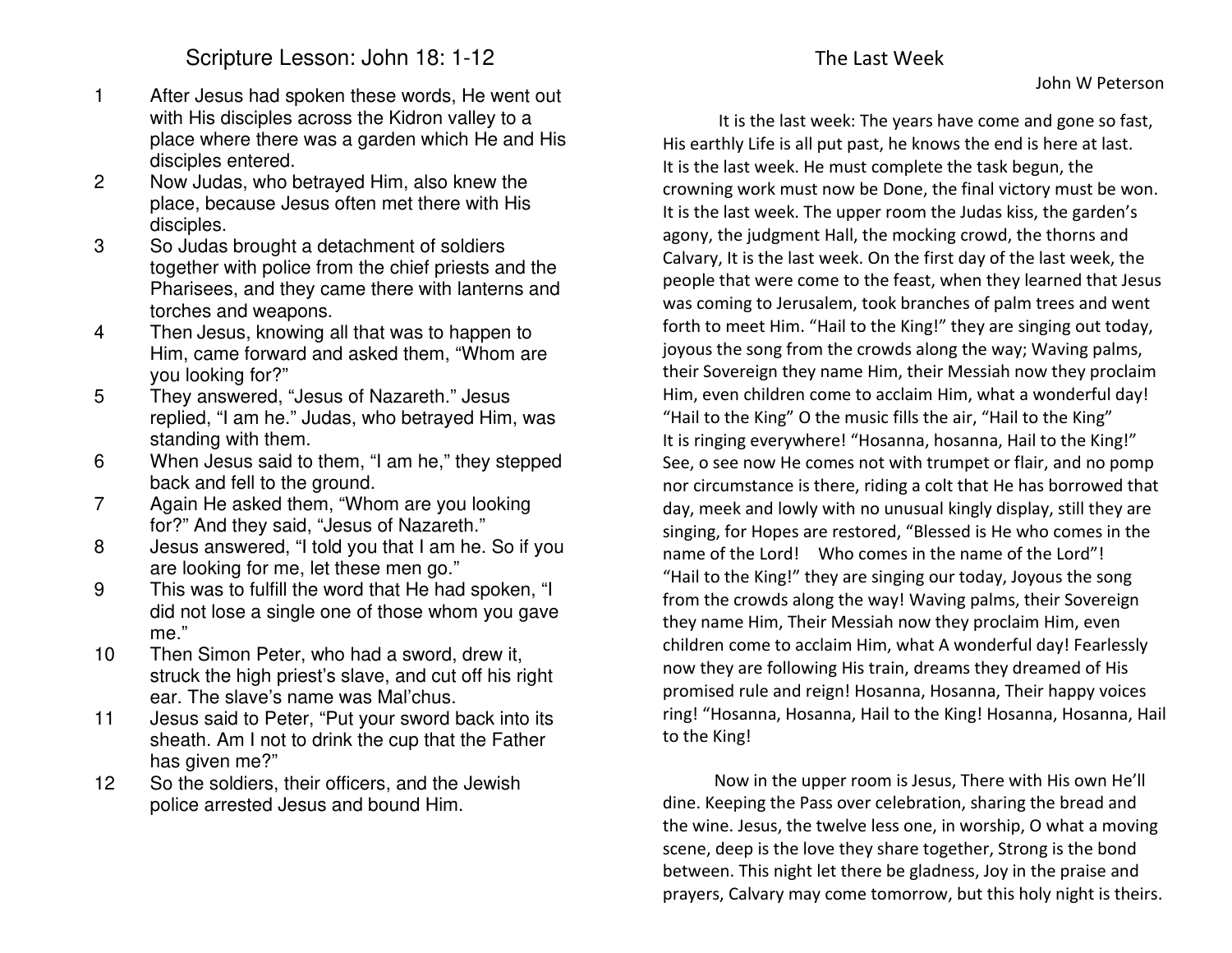Scripture Lesson: John 18: 1-12

- 1 After Jesus had spoken these words, He went out with His disciples across the Kidron valley to a place where there was a garden which He and His disciples entered.
- 2 Now Judas, who betrayed Him, also knew the place, because Jesus often met there with His disciples.
- 3 So Judas brought a detachment of soldiers together with police from the chief priests and the Pharisees, and they came there with lanterns and torches and weapons.
- 4 Then Jesus, knowing all that was to happen to Him, came forward and asked them, "Whom are you looking for?"
- 5 They answered, "Jesus of Nazareth." Jesus replied, "I am he." Judas, who betrayed Him, was standing with them.
- 6 When Jesus said to them, "I am he," they stepped back and fell to the ground.
- 7 Again He asked them, "Whom are you looking for?" And they said, "Jesus of Nazareth."
- 8 Jesus answered, "I told you that I am he. So if you are looking for me, let these men go."
- 9 This was to fulfill the word that He had spoken, "I did not lose a single one of those whom you gave me."
- 10 Then Simon Peter, who had a sword, drew it, struck the high priest's slave, and cut off his right ear. The slave's name was Mal'chus.
- 11 Jesus said to Peter, "Put your sword back into its sheath. Am I not to drink the cup that the Father has given me?"
- 12 So the soldiers, their officers, and the Jewish police arrested Jesus and bound Him.

 It is the last week: The years have come and gone so fast, His earthly Life is all put past, he knows the end is here at last. It is the last week. He must complete the task begun, the crowning work must now be Done, the final victory must be won. It is the last week. The upper room the Judas kiss, the garden's agony, the judgment Hall, the mocking crowd, the thorns and Calvary, It is the last week. On the first day of the last week, the people that were come to the feast, when they learned that Jesus was coming to Jerusalem, took branches of palm trees and went forth to meet Him. "Hail to the King!" they are singing out today, joyous the song from the crowds along the way; Waving palms, their Sovereign they name Him, their Messiah now they proclaim Him, even children come to acclaim Him, what a wonderful day! "Hail to the King" O the music fills the air, "Hail to the King" It is ringing everywhere! "Hosanna, hosanna, Hail to the King!" See, o see now He comes not with trumpet or flair, and no pomp nor circumstance is there, riding a colt that He has borrowed that day, meek and lowly with no unusual kingly display, still they are

singing, for Hopes are restored, "Blessed is He who comes in the name of the Lord! Who comes in the name of the Lord"! "Hail to the King!" they are singing our today, Joyous the song from the crowds along the way! Waving palms, their Sovereign they name Him, Their Messiah now they proclaim Him, even children come to acclaim Him, what A wonderful day! Fearlessly now they are following His train, dreams they dreamed of His promised rule and reign! Hosanna, Hosanna, Their happy voices ring! "Hosanna, Hosanna, Hail to the King! Hosanna, Hosanna, Hail to the King!

Now in the upper room is Jesus, There with His own He'll dine. Keeping the Pass over celebration, sharing the bread and the wine. Jesus, the twelve less one, in worship, O what a moving scene, deep is the love they share together, Strong is the bond between. This night let there be gladness, Joy in the praise and prayers, Calvary may come tomorrow, but this holy night is theirs.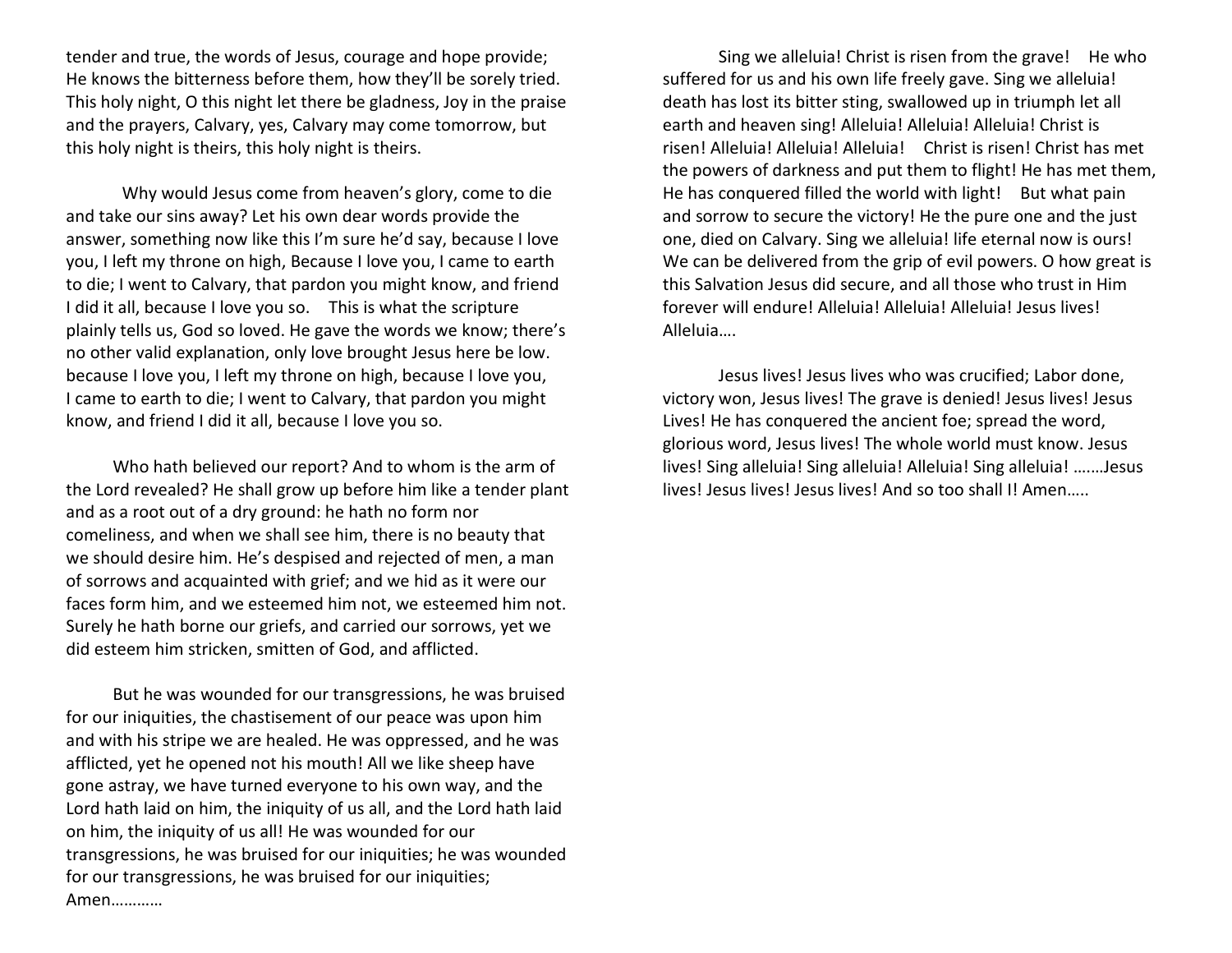tender and true, the words of Jesus, courage and hope provide; He knows the bitterness before them, how they'll be sorely tried. This holy night, O this night let there be gladness, Joy in the praise and the prayers, Calvary, yes, Calvary may come tomorrow, but this holy night is theirs, this holy night is theirs.

 Why would Jesus come from heaven's glory, come to die and take our sins away? Let his own dear words provide the answer, something now like this I'm sure he'd say, because I love you, I left my throne on high, Because I love you, I came to earth to die; I went to Calvary, that pardon you might know, and friend I did it all, because I love you so. This is what the scripture plainly tells us, God so loved. He gave the words we know; there's no other valid explanation, only love brought Jesus here be low. because I love you, I left my throne on high, because I love you, I came to earth to die; I went to Calvary, that pardon you might know, and friend I did it all, because I love you so.

 Who hath believed our report? And to whom is the arm of the Lord revealed? He shall grow up before him like a tender plant and as a root out of a dry ground: he hath no form nor comeliness, and when we shall see him, there is no beauty that we should desire him. He's despised and rejected of men, a man of sorrows and acquainted with grief; and we hid as it were our faces form him, and we esteemed him not, we esteemed him not. Surely he hath borne our griefs, and carried our sorrows, yet we did esteem him stricken, smitten of God, and afflicted.

 But he was wounded for our transgressions, he was bruised for our iniquities, the chastisement of our peace was upon him and with his stripe we are healed. He was oppressed, and he was afflicted, yet he opened not his mouth! All we like sheep have gone astray, we have turned everyone to his own way, and the Lord hath laid on him, the iniquity of us all, and the Lord hath laid on him, the iniquity of us all! He was wounded for our transgressions, he was bruised for our iniquities; he was wounded for our transgressions, he was bruised for our iniquities; Amen…………

 Sing we alleluia! Christ is risen from the grave! He who suffered for us and his own life freely gave. Sing we alleluia! death has lost its bitter sting, swallowed up in triumph let all earth and heaven sing! Alleluia! Alleluia! Alleluia! Christ is risen! Alleluia! Alleluia! Alleluia! Christ is risen! Christ has met the powers of darkness and put them to flight! He has met them, He has conquered filled the world with light! But what pain and sorrow to secure the victory! He the pure one and the just one, died on Calvary. Sing we alleluia! life eternal now is ours! We can be delivered from the grip of evil powers. O how great is this Salvation Jesus did secure, and all those who trust in Him forever will endure! Alleluia! Alleluia! Alleluia! Jesus lives! Alleluia….

Jesus lives! Jesus lives who was crucified; Labor done, victory won, Jesus lives! The grave is denied! Jesus lives! Jesus Lives! He has conquered the ancient foe; spread the word, glorious word, Jesus lives! The whole world must know. Jesus lives! Sing alleluia! Sing alleluia! Alleluia! Sing alleluia! ….…Jesus lives! Jesus lives! Jesus lives! And so too shall I! Amen…..